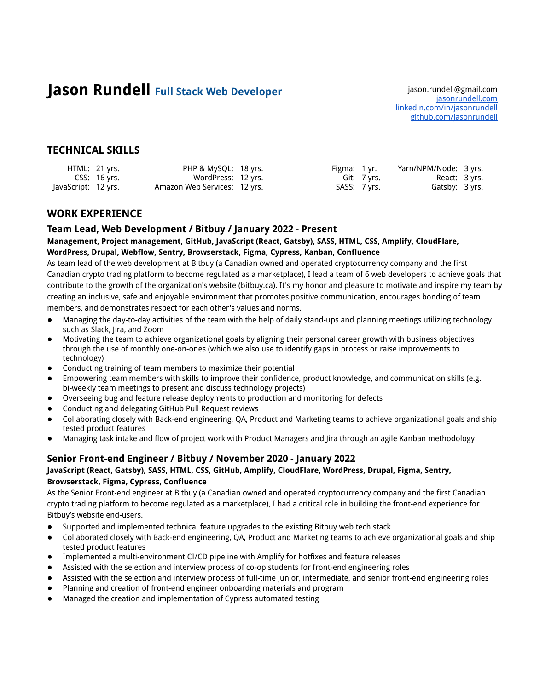# **Jason Rundell** Full Stack Web Developer **State Construes and State Construes A** jason.rundell@gmail.com

[jasonrundell.com](https://jasonrundell.com) [linkedin.com/in/jasonrundell](https://www.linkedin.com/in/jasonrundell/) [github.com/jasonrundell](https://github.com/jasonrundell)

## **TECHNICAL SKILLS**

|                     | HTML: 21 yrs. | PHP & MySQL: 18 yrs.         | Figma: 1 yr. |              | Yarn/NPM/Node: 3 yrs. |  |
|---------------------|---------------|------------------------------|--------------|--------------|-----------------------|--|
|                     | CSS: 16 yrs.  | WordPress: 12 yrs.           |              | Git: 7 yrs.  | React: 3 yrs.         |  |
| JavaScript: 12 yrs. |               | Amazon Web Services: 12 yrs. |              | SASS: 7 yrs. | Gatsby: 3 yrs.        |  |

## **WORK EXPERIENCE**

#### **Team Lead, Web Development / Bitbuy / January 2022 - Present**

#### **Management, Project management, GitHub, JavaScript (React, Gatsby), SASS, HTML, CSS, Amplify, CloudFlare, WordPress, Drupal, Webflow, Sentry, Browserstack, Figma, Cypress, Kanban, Confluence**

As team lead of the web development at Bitbuy (a Canadian owned and operated cryptocurrency company and the first Canadian crypto trading platform to become regulated as a marketplace), I lead a team of 6 web developers to achieve goals that contribute to the growth of the organization's website (bitbuy.ca). It's my honor and pleasure to motivate and inspire my team by creating an inclusive, safe and enjoyable environment that promotes positive communication, encourages bonding of team members, and demonstrates respect for each other's values and norms.

- Managing the day-to-day activities of the team with the help of daily stand-ups and planning meetings utilizing technology such as Slack, Jira, and Zoom
- Motivating the team to achieve organizational goals by aligning their personal career growth with business objectives through the use of monthly one-on-ones (which we also use to identify gaps in process or raise improvements to technology)
- Conducting training of team members to maximize their potential
- Empowering team members with skills to improve their confidence, product knowledge, and communication skills (e.g. bi-weekly team meetings to present and discuss technology projects)
- Overseeing bug and feature release deployments to production and monitoring for defects
- Conducting and delegating GitHub Pull Request reviews
- Collaborating closely with Back-end engineering, QA, Product and Marketing teams to achieve organizational goals and ship tested product features
- Managing task intake and flow of project work with Product Managers and Jira through an agile Kanban methodology

## **Senior Front-end Engineer / Bitbuy / November 2020 - January 2022**

#### **JavaScript (React, Gatsby), SASS, HTML, CSS, GitHub, Amplify, CloudFlare, WordPress, Drupal, Figma, Sentry, Browserstack, Figma, Cypress, Confluence**

As the Senior Front-end engineer at Bitbuy (a Canadian owned and operated cryptocurrency company and the first Canadian crypto trading platform to become regulated as a marketplace), I had a critical role in building the front-end experience for Bitbuy's website end-users.

- Supported and implemented technical feature upgrades to the existing Bitbuy web tech stack
- Collaborated closely with Back-end engineering, QA, Product and Marketing teams to achieve organizational goals and ship tested product features
- Implemented a multi-environment CI/CD pipeline with Amplify for hotfixes and feature releases
- Assisted with the selection and interview process of co-op students for front-end engineering roles
- Assisted with the selection and interview process of full-time junior, intermediate, and senior front-end engineering roles
- Planning and creation of front-end engineer onboarding materials and program
- Managed the creation and implementation of Cypress automated testing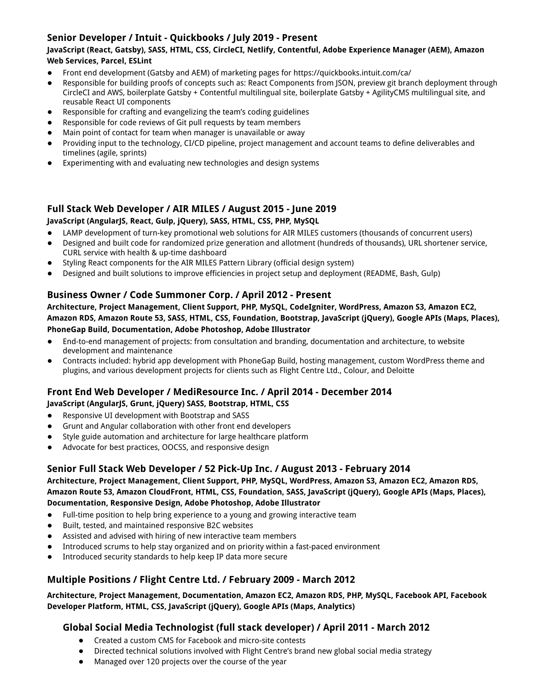## **Senior Developer / Intuit - Quickbooks / July 2019 - Present**

### **JavaScript (React, Gatsby), SASS, HTML, CSS, CircleCI, Netlify, Contentful, Adobe Experience Manager (AEM), Amazon Web Services, Parcel, ESLint**

- Front end development (Gatsby and AEM) of marketing pages for https://quickbooks.intuit.com/ca/
- Responsible for building proofs of concepts such as: React Components from JSON, preview git branch deployment through CircleCI and AWS, boilerplate Gatsby + Contentful multilingual site, boilerplate Gatsby + AgilityCMS multilingual site, and reusable React UI components
- Responsible for crafting and evangelizing the team's coding guidelines
- Responsible for code reviews of Git pull requests by team members
- Main point of contact for team when manager is unavailable or away
- Providing input to the technology, CI/CD pipeline, project management and account teams to define deliverables and timelines (agile, sprints)
- Experimenting with and evaluating new technologies and design systems

## **Full Stack Web Developer / AIR MILES / August 2015 - June 2019 JavaScript (AngularJS, React, Gulp, jQuery), SASS, HTML, CSS, PHP, MySQL**

- LAMP development of turn-key promotional web solutions for AIR MILES customers (thousands of concurrent users)
- Designed and built code for randomized prize generation and allotment (hundreds of thousands), URL shortener service, CURL service with health & up-time dashboard
- Styling React components for the AIR MILES Pattern Library (official design system)
- Designed and built solutions to improve efficiencies in project setup and deployment (README, Bash, Gulp)

## **Business Owner / Code Summoner Corp. / April 2012 - Present**

**Architecture, Project Management, Client Support, PHP, MySQL, CodeIgniter, WordPress, Amazon S3, Amazon EC2, Amazon RDS, Amazon Route 53, SASS, HTML, CSS, Foundation, Bootstrap, JavaScript (jQuery), Google APIs (Maps, Places), PhoneGap Build, Documentation, Adobe Photoshop, Adobe Illustrator**

- End-to-end management of projects: from consultation and branding, documentation and architecture, to website development and maintenance
- Contracts included: hybrid app development with PhoneGap Build, hosting management, custom WordPress theme and plugins, and various development projects for clients such as Flight Centre Ltd., Colour, and Deloitte

## **Front End Web Developer / MediResource Inc. / April 2014 - December 2014 JavaScript (AngularJS, Grunt, jQuery) SASS, Bootstrap, HTML, CSS**

- Responsive UI development with Bootstrap and SASS
- Grunt and Angular collaboration with other front end developers
- Style guide automation and architecture for large healthcare platform
- Advocate for best practices, OOCSS, and responsive design

## **Senior Full Stack Web Developer / 52 Pick-Up Inc. / August 2013 - February 2014**

**Architecture, Project Management, Client Support, PHP, MySQL, WordPress, Amazon S3, Amazon EC2, Amazon RDS, Amazon Route 53, Amazon CloudFront, HTML, CSS, Foundation, SASS, JavaScript (jQuery), Google APIs (Maps, Places), Documentation, Responsive Design, Adobe Photoshop, Adobe Illustrator**

- Full-time position to help bring experience to a young and growing interactive team
- Built, tested, and maintained responsive B2C websites
- Assisted and advised with hiring of new interactive team members
- Introduced scrums to help stay organized and on priority within a fast-paced environment
- Introduced security standards to help keep IP data more secure

## **Multiple Positions / Flight Centre Ltd. / February 2009 - March 2012**

### **Architecture, Project Management, Documentation, Amazon EC2, Amazon RDS, PHP, MySQL, Facebook API, Facebook Developer Platform, HTML, CSS, JavaScript (jQuery), Google APIs (Maps, Analytics)**

## **Global Social Media Technologist (full stack developer) / April 2011 - March 2012**

- Created a custom CMS for Facebook and micro-site contests
- Directed technical solutions involved with Flight Centre's brand new global social media strategy
- Managed over 120 projects over the course of the year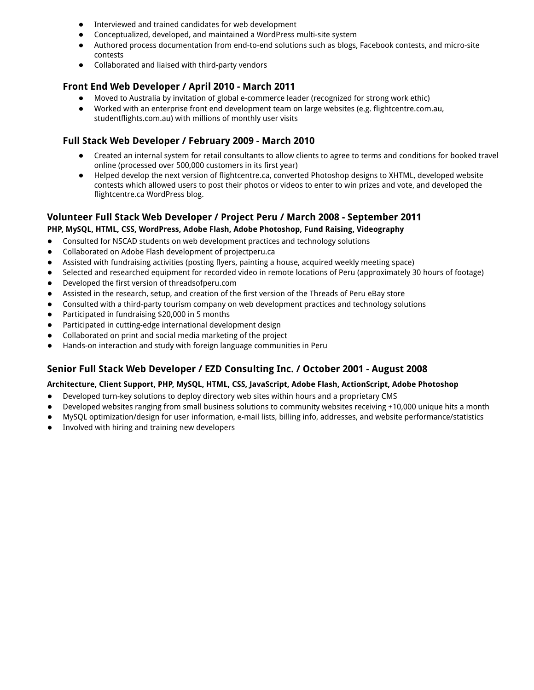- Interviewed and trained candidates for web development
- Conceptualized, developed, and maintained a WordPress multi-site system
- Authored process documentation from end-to-end solutions such as blogs, Facebook contests, and micro-site contests
- Collaborated and liaised with third-party vendors

## **Front End Web Developer / April 2010 - March 2011**

- Moved to Australia by invitation of global e-commerce leader (recognized for strong work ethic)
- Worked with an enterprise front end development team on large websites (e.g. flightcentre.com.au, studentflights.com.au) with millions of monthly user visits

## **Full Stack Web Developer / February 2009 - March 2010**

- Created an internal system for retail consultants to allow clients to agree to terms and conditions for booked travel online (processed over 500,000 customers in its first year)
- Helped develop the next version of flightcentre.ca, converted Photoshop designs to XHTML, developed website contests which allowed users to post their photos or videos to enter to win prizes and vote, and developed the flightcentre.ca WordPress blog.

# **Volunteer Full Stack Web Developer / Project Peru / March 2008 - September 2011**

# **PHP, MySQL, HTML, CSS, WordPress, Adobe Flash, Adobe Photoshop, Fund Raising, Videography**

- Consulted for NSCAD students on web development practices and technology solutions
- Collaborated on Adobe Flash development of projectperu.ca
- Assisted with fundraising activities (posting flyers, painting a house, acquired weekly meeting space)
- Selected and researched equipment for recorded video in remote locations of Peru (approximately 30 hours of footage)
- Developed the first version of threadsofperu.com
- Assisted in the research, setup, and creation of the first version of the Threads of Peru eBay store
- Consulted with a third-party tourism company on web development practices and technology solutions
- Participated in fundraising \$20,000 in 5 months
- Participated in cutting-edge international development design
- Collaborated on print and social media marketing of the project
- Hands-on interaction and study with foreign language communities in Peru

## **Senior Full Stack Web Developer / EZD Consulting Inc. / October 2001 - August 2008**

#### **Architecture, Client Support, PHP, MySQL, HTML, CSS, JavaScript, Adobe Flash, ActionScript, Adobe Photoshop**

- Developed turn-key solutions to deploy directory web sites within hours and a proprietary CMS
- Developed websites ranging from small business solutions to community websites receiving +10,000 unique hits a month
- MySQL optimization/design for user information, e-mail lists, billing info, addresses, and website performance/statistics
- Involved with hiring and training new developers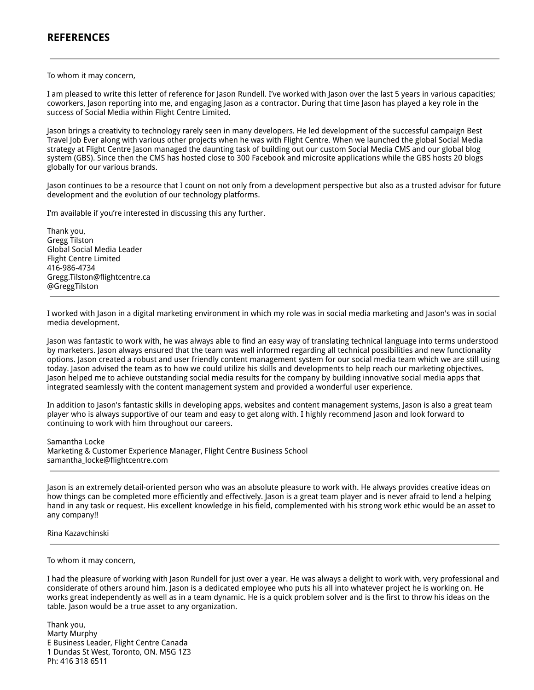## **REFERENCES**

To whom it may concern,

I am pleased to write this letter of reference for Jason Rundell. I've worked with Jason over the last 5 years in various capacities; coworkers, Jason reporting into me, and engaging Jason as a contractor. During that time Jason has played a key role in the success of Social Media within Flight Centre Limited.

Jason brings a creativity to technology rarely seen in many developers. He led development of the successful campaign Best Travel Job Ever along with various other projects when he was with Flight Centre. When we launched the global Social Media strategy at Flight Centre Jason managed the daunting task of building out our custom Social Media CMS and our global blog system (GBS). Since then the CMS has hosted close to 300 Facebook and microsite applications while the GBS hosts 20 blogs globally for our various brands.

Jason continues to be a resource that I count on not only from a development perspective but also as a trusted advisor for future development and the evolution of our technology platforms.

I'm available if you're interested in discussing this any further.

Thank you, Gregg Tilston Global Social Media Leader Flight Centre Limited 416-986-4734 Gregg.Tilston@flightcentre.ca @GreggTilston

I worked with Jason in a digital marketing environment in which my role was in social media marketing and Jason's was in social media development.

Jason was fantastic to work with, he was always able to find an easy way of translating technical language into terms understood by marketers. Jason always ensured that the team was well informed regarding all technical possibilities and new functionality options. Jason created a robust and user friendly content management system for our social media team which we are still using today. Jason advised the team as to how we could utilize his skills and developments to help reach our marketing objectives. Jason helped me to achieve outstanding social media results for the company by building innovative social media apps that integrated seamlessly with the content management system and provided a wonderful user experience.

In addition to Jason's fantastic skills in developing apps, websites and content management systems, Jason is also a great team player who is always supportive of our team and easy to get along with. I highly recommend Jason and look forward to continuing to work with him throughout our careers.

Samantha Locke Marketing & Customer Experience Manager, Flight Centre Business School samantha\_locke@flightcentre.com

Jason is an extremely detail-oriented person who was an absolute pleasure to work with. He always provides creative ideas on how things can be completed more efficiently and effectively. Jason is a great team player and is never afraid to lend a helping hand in any task or request. His excellent knowledge in his field, complemented with his strong work ethic would be an asset to any company!!

#### Rina Kazavchinski

#### To whom it may concern,

I had the pleasure of working with Jason Rundell for just over a year. He was always a delight to work with, very professional and considerate of others around him. Jason is a dedicated employee who puts his all into whatever project he is working on. He works great independently as well as in a team dynamic. He is a quick problem solver and is the first to throw his ideas on the table. Jason would be a true asset to any organization.

Thank you, Marty Murphy E Business Leader, Flight Centre Canada 1 Dundas St West, Toronto, ON. M5G 1Z3 Ph: 416 318 6511